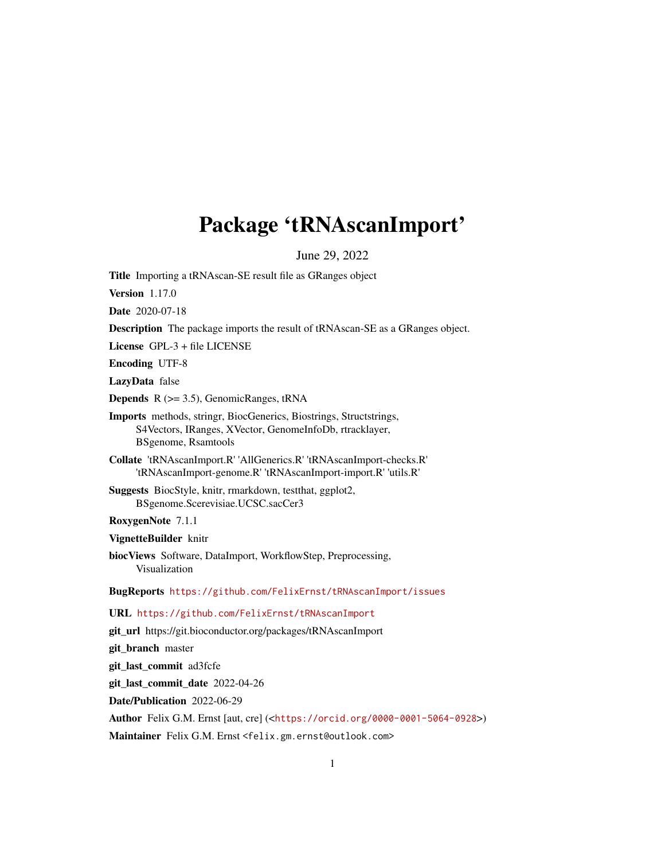## <span id="page-0-0"></span>Package 'tRNAscanImport'

June 29, 2022

Title Importing a tRNAscan-SE result file as GRanges object Version 1.17.0 Date 2020-07-18 Description The package imports the result of tRNAscan-SE as a GRanges object. License GPL-3 + file LICENSE Encoding UTF-8 LazyData false Depends R (>= 3.5), GenomicRanges, tRNA Imports methods, stringr, BiocGenerics, Biostrings, Structstrings, S4Vectors, IRanges, XVector, GenomeInfoDb, rtracklayer, BSgenome, Rsamtools Collate 'tRNAscanImport.R' 'AllGenerics.R' 'tRNAscanImport-checks.R' 'tRNAscanImport-genome.R' 'tRNAscanImport-import.R' 'utils.R' Suggests BiocStyle, knitr, rmarkdown, testthat, ggplot2, BSgenome.Scerevisiae.UCSC.sacCer3 RoxygenNote 7.1.1 VignetteBuilder knitr biocViews Software, DataImport, WorkflowStep, Preprocessing, Visualization BugReports <https://github.com/FelixErnst/tRNAscanImport/issues> URL <https://github.com/FelixErnst/tRNAscanImport> git\_url https://git.bioconductor.org/packages/tRNAscanImport git\_branch master git\_last\_commit ad3fcfe git\_last\_commit\_date 2022-04-26 Date/Publication 2022-06-29 Author Felix G.M. Ernst [aut, cre] (<<https://orcid.org/0000-0001-5064-0928>>)

Maintainer Felix G.M. Ernst <felix.gm.ernst@outlook.com>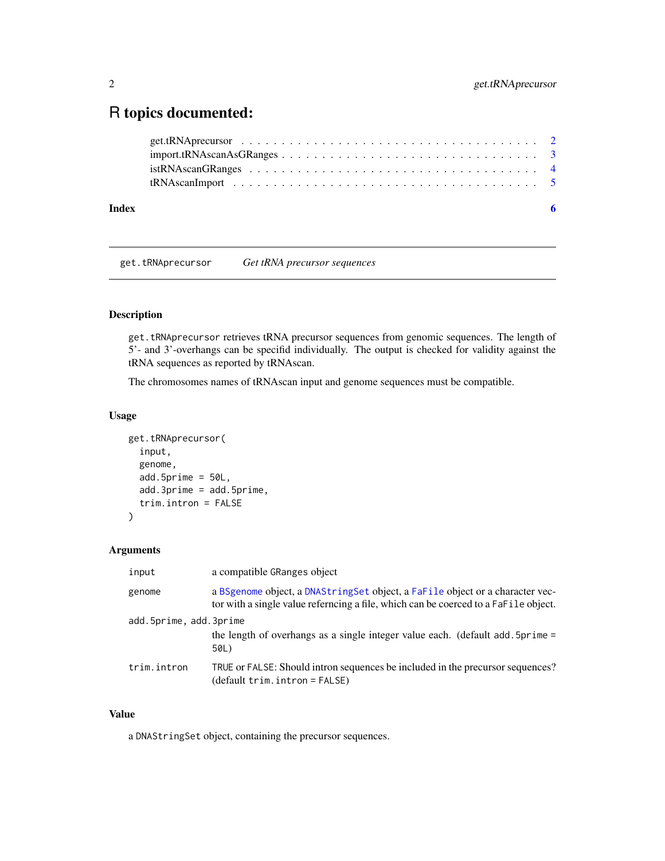### <span id="page-1-0"></span>R topics documented:

| Index | - 6                                                                                                             |  |
|-------|-----------------------------------------------------------------------------------------------------------------|--|
|       |                                                                                                                 |  |
|       |                                                                                                                 |  |
|       |                                                                                                                 |  |
|       | get.tRNA precursor $\ldots \ldots \ldots \ldots \ldots \ldots \ldots \ldots \ldots \ldots \ldots \ldots \ldots$ |  |

get.tRNAprecursor *Get tRNA precursor sequences*

#### Description

get.tRNAprecursor retrieves tRNA precursor sequences from genomic sequences. The length of 5'- and 3'-overhangs can be specifid individually. The output is checked for validity against the tRNA sequences as reported by tRNAscan.

The chromosomes names of tRNAscan input and genome sequences must be compatible.

#### Usage

```
get.tRNAprecursor(
  input,
  genome,
  add.5prime = 50L,
  add.3prime = add.5prime,
  trim.intron = FALSE
)
```
#### Arguments

| input                  | a compatible GRanges object                                                                                                                                          |
|------------------------|----------------------------------------------------------------------------------------------------------------------------------------------------------------------|
| genome                 | a BSgenome object, a DNAStringSet object, a FaFile object or a character vec-<br>tor with a single value referncing a file, which can be coerced to a FaFile object. |
| add.5prime, add.3prime | the length of overhangs as a single integer value each. (default add. 5prime =<br>50L)                                                                               |
| trim.intron            | TRUE or FALSE: Should intron sequences be included in the precursor sequences?<br>$(default trim.intron = FALSE)$                                                    |

#### Value

a DNAStringSet object, containing the precursor sequences.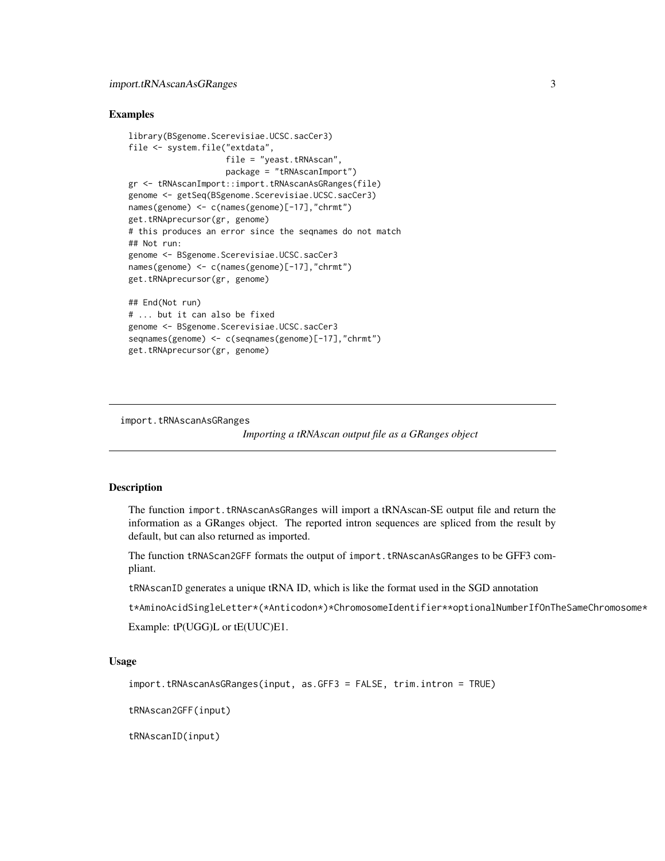#### <span id="page-2-0"></span>Examples

```
library(BSgenome.Scerevisiae.UCSC.sacCer3)
file <- system.file("extdata",
                    file = "yeast.tRNAscan",
                    package = "tRNAscanImport")
gr <- tRNAscanImport::import.tRNAscanAsGRanges(file)
genome <- getSeq(BSgenome.Scerevisiae.UCSC.sacCer3)
names(genome) <- c(names(genome)[-17],"chrmt")
get.tRNAprecursor(gr, genome)
# this produces an error since the seqnames do not match
## Not run:
genome <- BSgenome.Scerevisiae.UCSC.sacCer3
names(genome) <- c(names(genome)[-17],"chrmt")
get.tRNAprecursor(gr, genome)
## End(Not run)
# ... but it can also be fixed
genome <- BSgenome.Scerevisiae.UCSC.sacCer3
seqnames(genome) <- c(seqnames(genome)[-17],"chrmt")
get.tRNAprecursor(gr, genome)
```
import.tRNAscanAsGRanges

*Importing a tRNAscan output file as a GRanges object*

#### Description

The function import.tRNAscanAsGRanges will import a tRNAscan-SE output file and return the information as a GRanges object. The reported intron sequences are spliced from the result by default, but can also returned as imported.

The function tRNAScan2GFF formats the output of import.tRNAscanAsGRanges to be GFF3 compliant.

tRNAscanID generates a unique tRNA ID, which is like the format used in the SGD annotation

t\*AminoAcidSingleLetter\*(\*Anticodon\*)\*ChromosomeIdentifier\*\*optionalNumberIfOnTheSameChromosome\*

Example: tP(UGG)L or tE(UUC)E1.

#### Usage

```
import.tRNAscanAsGRanges(input, as.GFF3 = FALSE, trim.intron = TRUE)
```
tRNAscan2GFF(input)

tRNAscanID(input)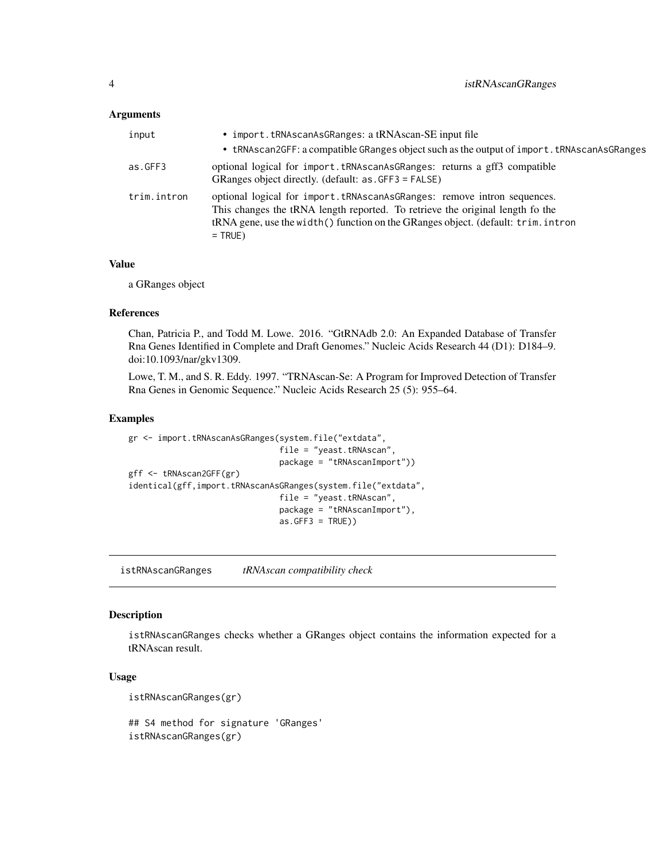#### <span id="page-3-0"></span>**Arguments**

| input       | • import.tRNAscanAsGRanges: a tRNAscan-SE input file<br>• tRNAscan2GFF: a compatible GRanges object such as the output of import, tRNAscanAsGRanges                                                                                                        |
|-------------|------------------------------------------------------------------------------------------------------------------------------------------------------------------------------------------------------------------------------------------------------------|
| as.GFF3     | optional logical for import.tRNAscanAsGRanges: returns a gff3 compatible<br>GRanges object directly. (default: as. GFF3 = FALSE)                                                                                                                           |
| trim.intron | optional logical for import.tRNAscanAsGRanges: remove intron sequences.<br>This changes the tRNA length reported. To retrieve the original length fo the<br>tRNA gene, use the width () function on the GRanges object. (default: trim.intron<br>$=$ TRUE) |

#### Value

a GRanges object

#### References

Chan, Patricia P., and Todd M. Lowe. 2016. "GtRNAdb 2.0: An Expanded Database of Transfer Rna Genes Identified in Complete and Draft Genomes." Nucleic Acids Research 44 (D1): D184–9. doi:10.1093/nar/gkv1309.

Lowe, T. M., and S. R. Eddy. 1997. "TRNAscan-Se: A Program for Improved Detection of Transfer Rna Genes in Genomic Sequence." Nucleic Acids Research 25 (5): 955–64.

#### Examples

```
gr <- import.tRNAscanAsGRanges(system.file("extdata",
                               file = "yeast.tRNAscan",
                               package = "tRNAscanImport"))
gff <- tRNAscan2GFF(gr)
identical(gff,import.tRNAscanAsGRanges(system.file("extdata",
                               file = "yeast.tRNAscan",
                               package = "tRNAscanImport"),
                               as.GFF3 = TRUE)
```
istRNAscanGRanges *tRNAscan compatibility check*

#### Description

istRNAscanGRanges checks whether a GRanges object contains the information expected for a tRNAscan result.

#### Usage

istRNAscanGRanges(gr)

## S4 method for signature 'GRanges' istRNAscanGRanges(gr)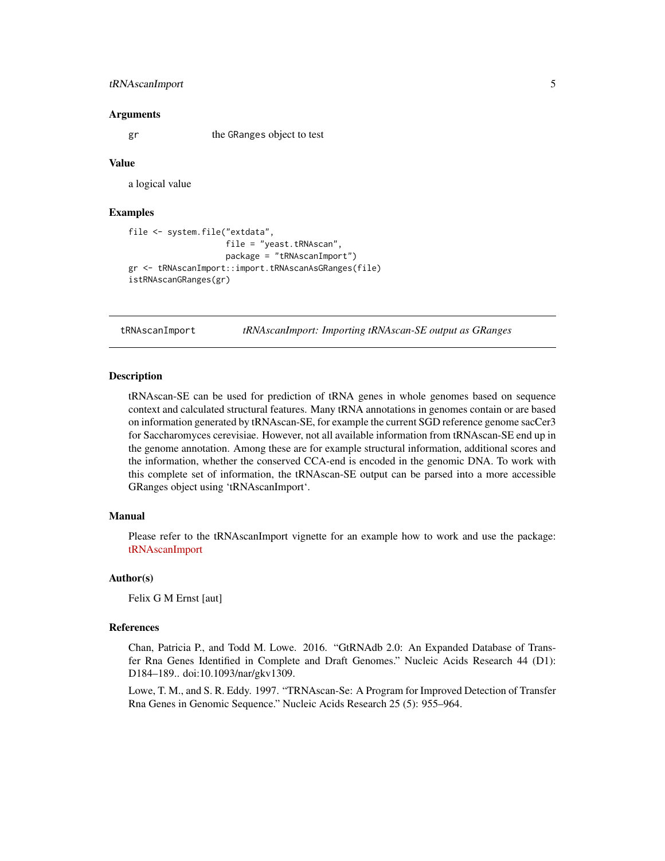#### <span id="page-4-0"></span>tRNAscanImport 5

#### Arguments

gr the GRanges object to test

#### Value

a logical value

#### Examples

```
file <- system.file("extdata",
                    file = "yeast.tRNAscan",
                    package = "tRNAscanImport")
gr <- tRNAscanImport::import.tRNAscanAsGRanges(file)
istRNAscanGRanges(gr)
```
tRNAscanImport *tRNAscanImport: Importing tRNAscan-SE output as GRanges*

#### Description

tRNAscan-SE can be used for prediction of tRNA genes in whole genomes based on sequence context and calculated structural features. Many tRNA annotations in genomes contain or are based on information generated by tRNAscan-SE, for example the current SGD reference genome sacCer3 for Saccharomyces cerevisiae. However, not all available information from tRNAscan-SE end up in the genome annotation. Among these are for example structural information, additional scores and the information, whether the conserved CCA-end is encoded in the genomic DNA. To work with this complete set of information, the tRNAscan-SE output can be parsed into a more accessible GRanges object using 'tRNAscanImport'.

#### Manual

Please refer to the tRNAscanImport vignette for an example how to work and use the package: [tRNAscanImport](../doc/tRNAscanImport.html)

#### Author(s)

Felix G M Ernst [aut]

#### References

Chan, Patricia P., and Todd M. Lowe. 2016. "GtRNAdb 2.0: An Expanded Database of Transfer Rna Genes Identified in Complete and Draft Genomes." Nucleic Acids Research 44 (D1): D184–189.. doi:10.1093/nar/gkv1309.

Lowe, T. M., and S. R. Eddy. 1997. "TRNAscan-Se: A Program for Improved Detection of Transfer Rna Genes in Genomic Sequence." Nucleic Acids Research 25 (5): 955–964.